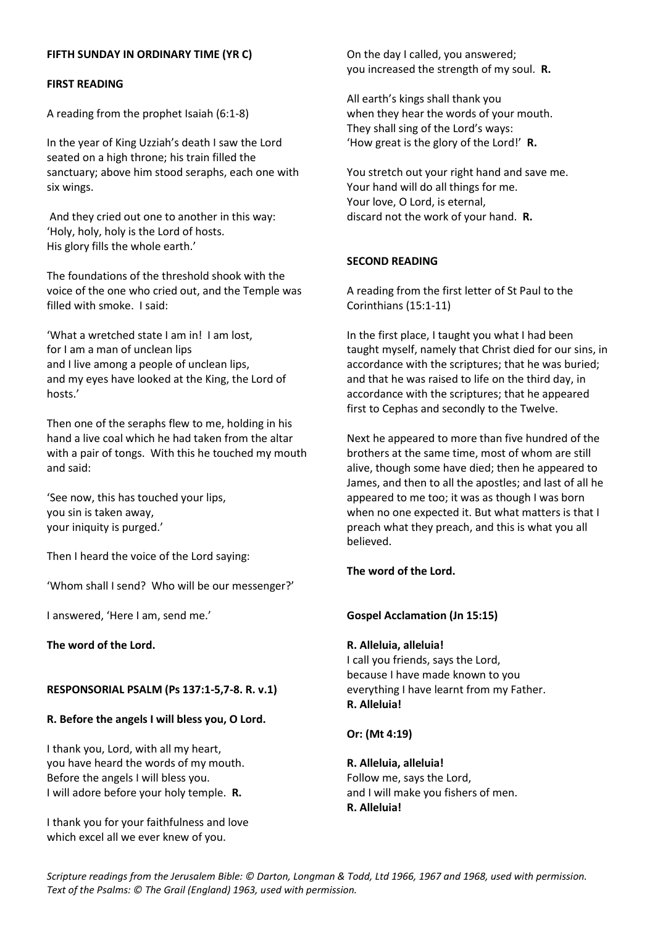# **FIFTH SUNDAY IN ORDINARY TIME (YR C)**

### **FIRST READING**

A reading from the prophet Isaiah (6:1-8)

In the year of King Uzziah's death I saw the Lord seated on a high throne; his train filled the sanctuary; above him stood seraphs, each one with six wings.

And they cried out one to another in this way: 'Holy, holy, holy is the Lord of hosts. His glory fills the whole earth.'

The foundations of the threshold shook with the voice of the one who cried out, and the Temple was filled with smoke. I said:

'What a wretched state I am in! I am lost, for I am a man of unclean lips and I live among a people of unclean lips, and my eyes have looked at the King, the Lord of hosts.'

Then one of the seraphs flew to me, holding in his hand a live coal which he had taken from the altar with a pair of tongs. With this he touched my mouth and said:

'See now, this has touched your lips, you sin is taken away, your iniquity is purged.'

Then I heard the voice of the Lord saying:

'Whom shall I send? Who will be our messenger?'

I answered, 'Here I am, send me.'

**The word of the Lord.**

#### **RESPONSORIAL PSALM (Ps 137:1-5,7-8. R. v.1)**

#### **R. Before the angels I will bless you, O Lord.**

I thank you, Lord, with all my heart, you have heard the words of my mouth. Before the angels I will bless you. I will adore before your holy temple. **R.**

I thank you for your faithfulness and love which excel all we ever knew of you.

On the day I called, you answered; you increased the strength of my soul. **R.**

All earth's kings shall thank you when they hear the words of your mouth. They shall sing of the Lord's ways: 'How great is the glory of the Lord!' **R.**

You stretch out your right hand and save me. Your hand will do all things for me. Your love, O Lord, is eternal, discard not the work of your hand. **R.**

## **SECOND READING**

A reading from the first letter of St Paul to the Corinthians (15:1-11)

In the first place, I taught you what I had been taught myself, namely that Christ died for our sins, in accordance with the scriptures; that he was buried; and that he was raised to life on the third day, in accordance with the scriptures; that he appeared first to Cephas and secondly to the Twelve.

Next he appeared to more than five hundred of the brothers at the same time, most of whom are still alive, though some have died; then he appeared to James, and then to all the apostles; and last of all he appeared to me too; it was as though I was born when no one expected it. But what matters is that I preach what they preach, and this is what you all believed.

# **The word of the Lord.**

#### **Gospel Acclamation (Jn 15:15)**

### **R. Alleluia, alleluia!**

I call you friends, says the Lord, because I have made known to you everything I have learnt from my Father. **R. Alleluia!**

**Or: (Mt 4:19)**

**R. Alleluia, alleluia!** Follow me, says the Lord, and I will make you fishers of men. **R. Alleluia!**